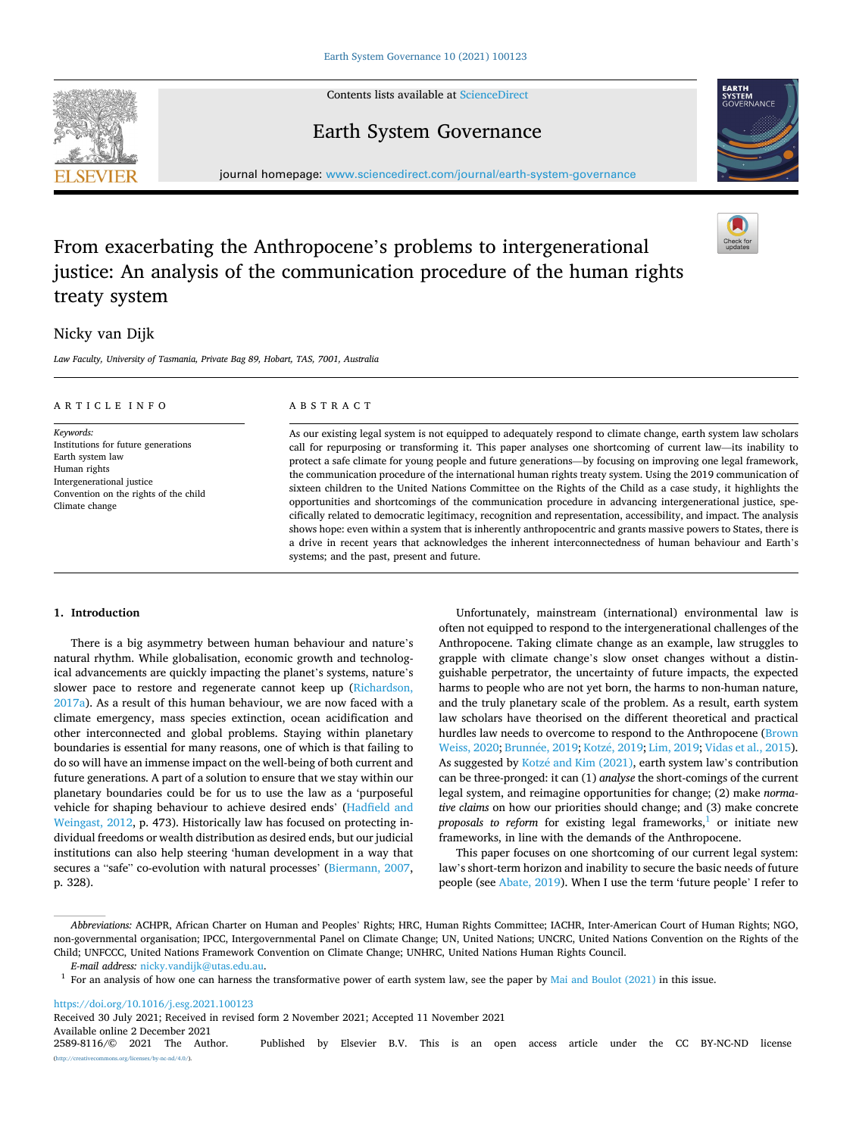Contents lists available at [ScienceDirect](www.sciencedirect.com/science/journal/25898116)







journal homepage: [www.sciencedirect.com/journal/earth-system-governance](https://www.sciencedirect.com/journal/earth-system-governance)

# From exacerbating the Anthropocene's problems to intergenerational justice: An analysis of the communication procedure of the human rights treaty system

## Nicky van Dijk

*Law Faculty, University of Tasmania, Private Bag 89, Hobart, TAS, 7001, Australia* 

| ARTICLE INFO<br>Keywords:<br>Institutions for future generations<br>Earth system law<br>Human rights<br>Intergenerational justice<br>Convention on the rights of the child<br>Climate change | ABSTRACT<br>As our existing legal system is not equipped to adequately respond to climate change, earth system law scholars<br>call for repurposing or transforming it. This paper analyses one shortcoming of current law—its inability to<br>protect a safe climate for young people and future generations—by focusing on improving one legal framework,<br>the communication procedure of the international human rights treaty system. Using the 2019 communication of<br>sixteen children to the United Nations Committee on the Rights of the Child as a case study, it highlights the<br>opportunities and shortcomings of the communication procedure in advancing intergenerational justice, spe-<br>cifically related to democratic legitimacy, recognition and representation, accessibility, and impact. The analysis<br>shows hope: even within a system that is inherently anthropocentric and grants massive powers to States, there is<br>a drive in recent years that acknowledges the inherent interconnectedness of human behaviour and Earth's |
|----------------------------------------------------------------------------------------------------------------------------------------------------------------------------------------------|---------------------------------------------------------------------------------------------------------------------------------------------------------------------------------------------------------------------------------------------------------------------------------------------------------------------------------------------------------------------------------------------------------------------------------------------------------------------------------------------------------------------------------------------------------------------------------------------------------------------------------------------------------------------------------------------------------------------------------------------------------------------------------------------------------------------------------------------------------------------------------------------------------------------------------------------------------------------------------------------------------------------------------------------------------------------|
|                                                                                                                                                                                              |                                                                                                                                                                                                                                                                                                                                                                                                                                                                                                                                                                                                                                                                                                                                                                                                                                                                                                                                                                                                                                                                     |
|                                                                                                                                                                                              | systems; and the past, present and future.                                                                                                                                                                                                                                                                                                                                                                                                                                                                                                                                                                                                                                                                                                                                                                                                                                                                                                                                                                                                                          |

## **1. Introduction**

There is a big asymmetry between human behaviour and nature's natural rhythm. While globalisation, economic growth and technological advancements are quickly impacting the planet's systems, nature's slower pace to restore and regenerate cannot keep up ([Richardson,](#page-8-0)  [2017a\)](#page-8-0). As a result of this human behaviour, we are now faced with a climate emergency, mass species extinction, ocean acidification and other interconnected and global problems. Staying within planetary boundaries is essential for many reasons, one of which is that failing to do so will have an immense impact on the well-being of both current and future generations. A part of a solution to ensure that we stay within our planetary boundaries could be for us to use the law as a 'purposeful vehicle for shaping behaviour to achieve desired ends' [\(Hadfield and](#page-8-0)  [Weingast, 2012,](#page-8-0) p. 473). Historically law has focused on protecting individual freedoms or wealth distribution as desired ends, but our judicial institutions can also help steering 'human development in a way that secures a "safe" co-evolution with natural processes' ([Biermann, 2007](#page-7-0), p. 328).

Unfortunately, mainstream (international) environmental law is often not equipped to respond to the intergenerational challenges of the Anthropocene. Taking climate change as an example, law struggles to grapple with climate change's slow onset changes without a distinguishable perpetrator, the uncertainty of future impacts, the expected harms to people who are not yet born, the harms to non-human nature, and the truly planetary scale of the problem. As a result, earth system law scholars have theorised on the different theoretical and practical hurdles law needs to overcome to respond to the Anthropocene ([Brown](#page-7-0)  [Weiss, 2020;](#page-7-0) Brunné[e, 2019](#page-8-0); Kotzé, 2019; [Lim, 2019;](#page-8-0) [Vidas et al., 2015](#page-9-0)). As suggested by Kotzé and Kim (2021), earth system law's contribution can be three-pronged: it can (1) *analyse* the short-comings of the current legal system, and reimagine opportunities for change; (2) make *normative claims* on how our priorities should change; and (3) make concrete *proposals to reform* for existing legal frameworks, $\frac{1}{1}$  or initiate new frameworks, in line with the demands of the Anthropocene.

This paper focuses on one shortcoming of our current legal system: law's short-term horizon and inability to secure the basic needs of future people (see [Abate, 2019\)](#page-7-0). When I use the term 'future people' I refer to

<https://doi.org/10.1016/j.esg.2021.100123>

Available online 2 December 2021<br>2589-8116/© 2021 The Author. Published by Elsevier B.V. This is an open access article under the CC BY-NC-ND license  $\frac{\text{uses}}{\text{by-nc-nd}/4.0}$ . Received 30 July 2021; Received in revised form 2 November 2021; Accepted 11 November 2021

*Abbreviations:* ACHPR, African Charter on Human and Peoples' Rights; HRC, Human Rights Committee; IACHR, Inter-American Court of Human Rights; NGO, non-governmental organisation; IPCC, Intergovernmental Panel on Climate Change; UN, United Nations; UNCRC, United Nations Convention on the Rights of the Child; UNFCCC, United Nations Framework Convention on Climate Change; UNHRC, United Nations Human Rights Council.<br>E-mail address: nicky.vandijk@utas.edu.au.

<sup>&</sup>lt;sup>1</sup> For an analysis of how one can harness the transformative power of earth system law, see the paper by [Mai and Boulot \(2021\)](#page-8-0) in this issue.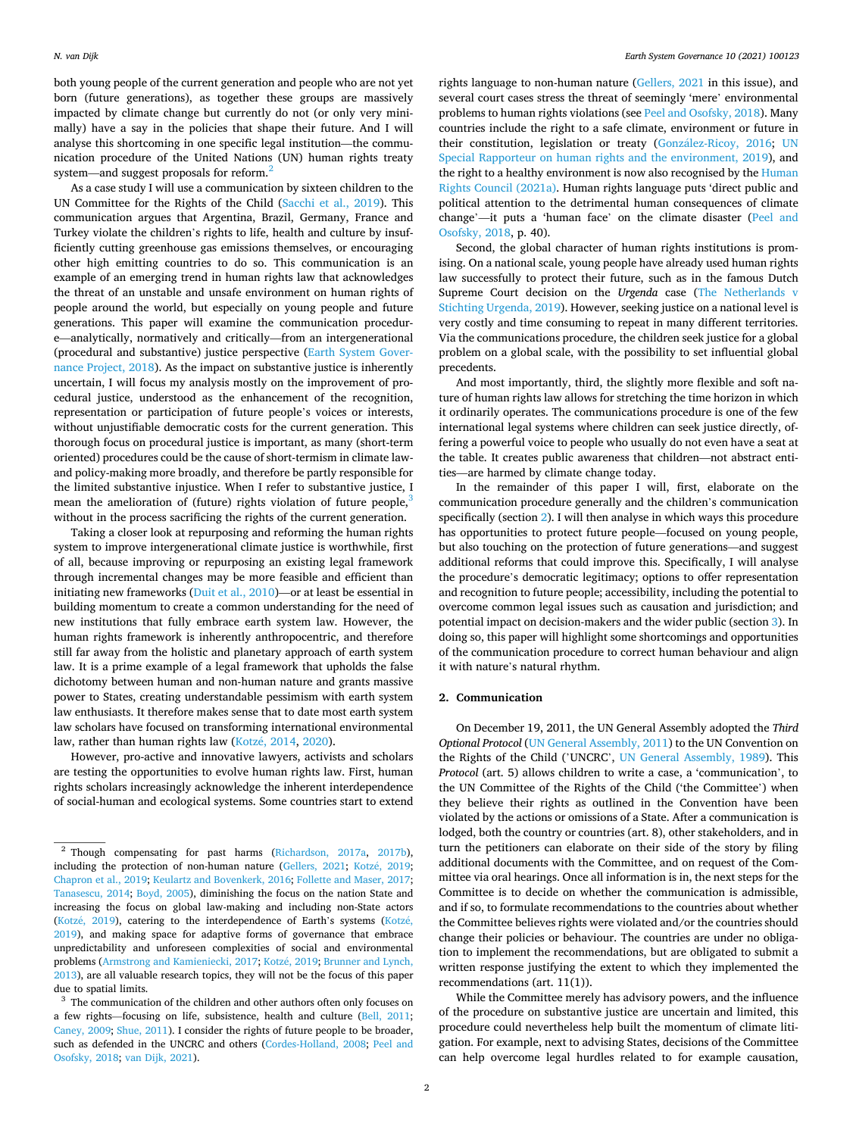both young people of the current generation and people who are not yet born (future generations), as together these groups are massively impacted by climate change but currently do not (or only very minimally) have a say in the policies that shape their future. And I will analyse this shortcoming in one specific legal institution—the communication procedure of the United Nations (UN) human rights treaty system—and suggest proposals for reform.<sup>2</sup>

As a case study I will use a communication by sixteen children to the UN Committee for the Rights of the Child [\(Sacchi et al., 2019](#page-8-0)). This communication argues that Argentina, Brazil, Germany, France and Turkey violate the children's rights to life, health and culture by insufficiently cutting greenhouse gas emissions themselves, or encouraging other high emitting countries to do so. This communication is an example of an emerging trend in human rights law that acknowledges the threat of an unstable and unsafe environment on human rights of people around the world, but especially on young people and future generations. This paper will examine the communication procedure—analytically, normatively and critically—from an intergenerational (procedural and substantive) justice perspective [\(Earth System Gover](#page-8-0)[nance Project, 2018\)](#page-8-0). As the impact on substantive justice is inherently uncertain, I will focus my analysis mostly on the improvement of procedural justice, understood as the enhancement of the recognition, representation or participation of future people's voices or interests, without unjustifiable democratic costs for the current generation. This thorough focus on procedural justice is important, as many (short-term oriented) procedures could be the cause of short-termism in climate lawand policy-making more broadly, and therefore be partly responsible for the limited substantive injustice. When I refer to substantive justice, I mean the amelioration of (future) rights violation of future people, $3$ without in the process sacrificing the rights of the current generation.

Taking a closer look at repurposing and reforming the human rights system to improve intergenerational climate justice is worthwhile, first of all, because improving or repurposing an existing legal framework through incremental changes may be more feasible and efficient than initiating new frameworks [\(Duit et al., 2010\)](#page-8-0)—or at least be essential in building momentum to create a common understanding for the need of new institutions that fully embrace earth system law. However, the human rights framework is inherently anthropocentric, and therefore still far away from the holistic and planetary approach of earth system law. It is a prime example of a legal framework that upholds the false dichotomy between human and non-human nature and grants massive power to States, creating understandable pessimism with earth system law enthusiasts. It therefore makes sense that to date most earth system law scholars have focused on transforming international environmental law, rather than human rights law (Kotzé, 2014, 2020).

However, pro-active and innovative lawyers, activists and scholars are testing the opportunities to evolve human rights law. First, human rights scholars increasingly acknowledge the inherent interdependence of social-human and ecological systems. Some countries start to extend

rights language to non-human nature ([Gellers, 2021](#page-8-0) in this issue), and several court cases stress the threat of seemingly 'mere' environmental problems to human rights violations (see [Peel and Osofsky, 2018\)](#page-8-0). Many countries include the right to a safe climate, environment or future in their constitution, legislation or treaty (González-Ricoy, 2016; UN [Special Rapporteur on human rights and the environment, 2019\)](#page-8-0), and the right to a healthy environment is now also recognised by the [Human](#page-8-0)  [Rights Council \(2021a\).](#page-8-0) Human rights language puts 'direct public and political attention to the detrimental human consequences of climate change'—it puts a 'human face' on the climate disaster [\(Peel and](#page-8-0)  [Osofsky, 2018,](#page-8-0) p. 40).

Second, the global character of human rights institutions is promising. On a national scale, young people have already used human rights law successfully to protect their future, such as in the famous Dutch Supreme Court decision on the *Urgenda* case ([The Netherlands v](#page-8-0)  [Stichting Urgenda, 2019\)](#page-8-0). However, seeking justice on a national level is very costly and time consuming to repeat in many different territories. Via the communications procedure, the children seek justice for a global problem on a global scale, with the possibility to set influential global precedents.

And most importantly, third, the slightly more flexible and soft nature of human rights law allows for stretching the time horizon in which it ordinarily operates. The communications procedure is one of the few international legal systems where children can seek justice directly, offering a powerful voice to people who usually do not even have a seat at the table. It creates public awareness that children—not abstract entities—are harmed by climate change today.

In the remainder of this paper I will, first, elaborate on the communication procedure generally and the children's communication specifically (section 2). I will then analyse in which ways this procedure has opportunities to protect future people—focused on young people, but also touching on the protection of future generations—and suggest additional reforms that could improve this. Specifically, I will analyse the procedure's democratic legitimacy; options to offer representation and recognition to future people; accessibility, including the potential to overcome common legal issues such as causation and jurisdiction; and potential impact on decision-makers and the wider public (section [3](#page-2-0)). In doing so, this paper will highlight some shortcomings and opportunities of the communication procedure to correct human behaviour and align it with nature's natural rhythm.

## **2. Communication**

On December 19, 2011, the UN General Assembly adopted the *Third Optional Protocol* [\(UN General Assembly, 2011\)](#page-8-0) to the UN Convention on the Rights of the Child ('UNCRC', [UN General Assembly, 1989](#page-8-0)). This *Protocol* (art. 5) allows children to write a case, a 'communication', to the UN Committee of the Rights of the Child ('the Committee') when they believe their rights as outlined in the Convention have been violated by the actions or omissions of a State. After a communication is lodged, both the country or countries (art. 8), other stakeholders, and in turn the petitioners can elaborate on their side of the story by filing additional documents with the Committee, and on request of the Committee via oral hearings. Once all information is in, the next steps for the Committee is to decide on whether the communication is admissible, and if so, to formulate recommendations to the countries about whether the Committee believes rights were violated and/or the countries should change their policies or behaviour. The countries are under no obligation to implement the recommendations, but are obligated to submit a written response justifying the extent to which they implemented the recommendations (art. 11(1)).

While the Committee merely has advisory powers, and the influence of the procedure on substantive justice are uncertain and limited, this procedure could nevertheless help built the momentum of climate litigation. For example, next to advising States, decisions of the Committee can help overcome legal hurdles related to for example causation,

<sup>2</sup> Though compensating for past harms [\(Richardson, 2017a,](#page-8-0) [2017b\)](#page-8-0), including the protection of non-human nature ([Gellers, 2021;](#page-8-0) Kotzé, 2019; [Chapron et al., 2019;](#page-8-0) [Keulartz and Bovenkerk, 2016](#page-8-0); [Follette and Maser, 2017;](#page-8-0) [Tanasescu, 2014;](#page-8-0) [Boyd, 2005](#page-7-0)), diminishing the focus on the nation State and increasing the focus on global law-making and including non-State actors ([Kotz](#page-8-0)é, 2019), catering to the interdependence of Earth's systems (Kotzé, [2019\)](#page-8-0), and making space for adaptive forms of governance that embrace unpredictability and unforeseen complexities of social and environmental problems ([Armstrong and Kamieniecki, 2017](#page-7-0); Kotzé, 2019; Brunner and Lynch, [2013\)](#page-8-0), are all valuable research topics, they will not be the focus of this paper due to spatial limits.<br> $3$  The communication of the children and other authors often only focuses on

a few rights—focusing on life, subsistence, health and culture ([Bell, 2011;](#page-7-0) [Caney, 2009](#page-8-0); [Shue, 2011\)](#page-8-0). I consider the rights of future people to be broader, such as defended in the UNCRC and others [\(Cordes-Holland, 2008;](#page-8-0) [Peel and](#page-8-0)  [Osofsky, 2018;](#page-8-0) [van Dijk, 2021\)](#page-9-0).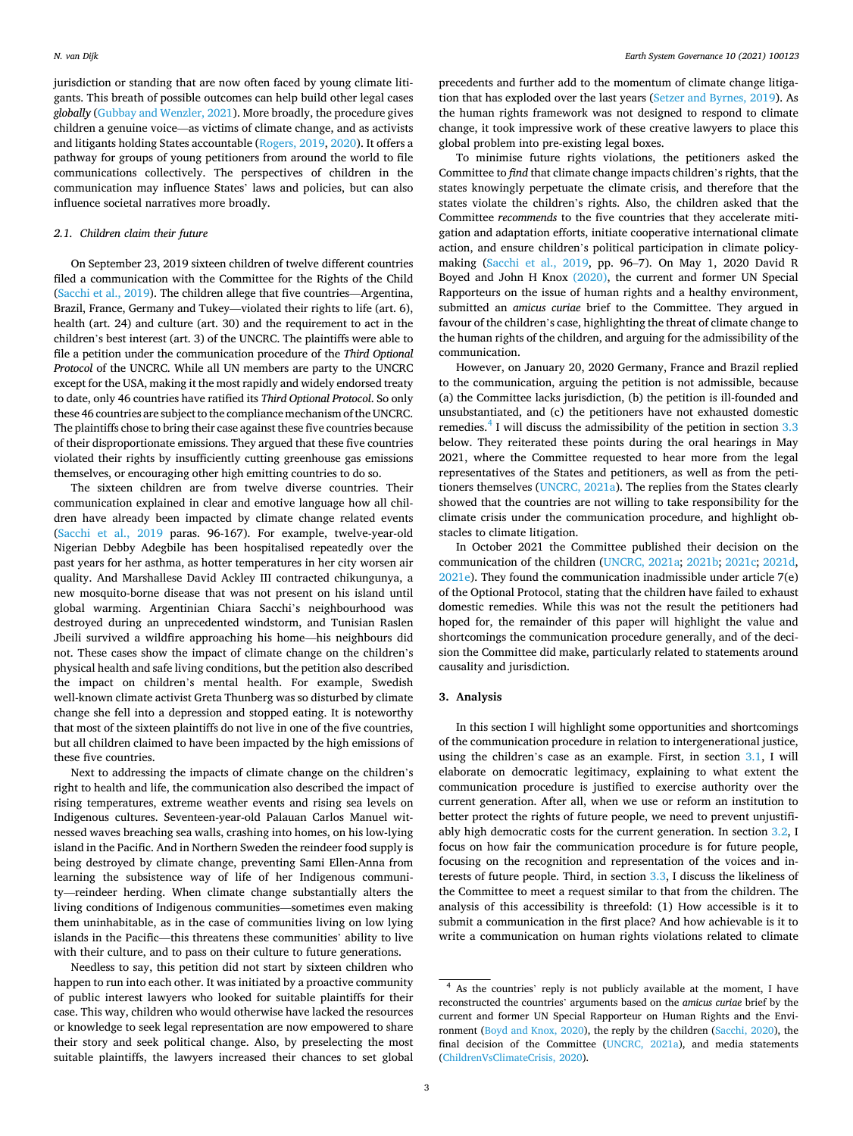<span id="page-2-0"></span>jurisdiction or standing that are now often faced by young climate litigants. This breath of possible outcomes can help build other legal cases *globally* [\(Gubbay and Wenzler, 2021\)](#page-8-0). More broadly, the procedure gives children a genuine voice—as victims of climate change, and as activists and litigants holding States accountable [\(Rogers, 2019, 2020\)](#page-8-0). It offers a pathway for groups of young petitioners from around the world to file communications collectively. The perspectives of children in the communication may influence States' laws and policies, but can also influence societal narratives more broadly.

## *2.1. Children claim their future*

On September 23, 2019 sixteen children of twelve different countries filed a communication with the Committee for the Rights of the Child ([Sacchi et al., 2019\)](#page-8-0). The children allege that five countries—Argentina, Brazil, France, Germany and Tukey—violated their rights to life (art. 6), health (art. 24) and culture (art. 30) and the requirement to act in the children's best interest (art. 3) of the UNCRC. The plaintiffs were able to file a petition under the communication procedure of the *Third Optional Protocol* of the UNCRC. While all UN members are party to the UNCRC except for the USA, making it the most rapidly and widely endorsed treaty to date, only 46 countries have ratified its *Third Optional Protocol*. So only these 46 countries are subject to the compliance mechanism of the UNCRC. The plaintiffs chose to bring their case against these five countries because of their disproportionate emissions. They argued that these five countries violated their rights by insufficiently cutting greenhouse gas emissions themselves, or encouraging other high emitting countries to do so.

The sixteen children are from twelve diverse countries. Their communication explained in clear and emotive language how all children have already been impacted by climate change related events ([Sacchi et al., 2019](#page-8-0) paras. 96-167). For example, twelve-year-old Nigerian Debby Adegbile has been hospitalised repeatedly over the past years for her asthma, as hotter temperatures in her city worsen air quality. And Marshallese David Ackley III contracted chikungunya, a new mosquito-borne disease that was not present on his island until global warming. Argentinian Chiara Sacchi's neighbourhood was destroyed during an unprecedented windstorm, and Tunisian Raslen Jbeili survived a wildfire approaching his home—his neighbours did not. These cases show the impact of climate change on the children's physical health and safe living conditions, but the petition also described the impact on children's mental health. For example, Swedish well-known climate activist Greta Thunberg was so disturbed by climate change she fell into a depression and stopped eating. It is noteworthy that most of the sixteen plaintiffs do not live in one of the five countries, but all children claimed to have been impacted by the high emissions of these five countries.

Next to addressing the impacts of climate change on the children's right to health and life, the communication also described the impact of rising temperatures, extreme weather events and rising sea levels on Indigenous cultures. Seventeen-year-old Palauan Carlos Manuel witnessed waves breaching sea walls, crashing into homes, on his low-lying island in the Pacific. And in Northern Sweden the reindeer food supply is being destroyed by climate change, preventing Sami Ellen-Anna from learning the subsistence way of life of her Indigenous community—reindeer herding. When climate change substantially alters the living conditions of Indigenous communities—sometimes even making them uninhabitable, as in the case of communities living on low lying islands in the Pacific—this threatens these communities' ability to live with their culture, and to pass on their culture to future generations.

Needless to say, this petition did not start by sixteen children who happen to run into each other. It was initiated by a proactive community of public interest lawyers who looked for suitable plaintiffs for their case. This way, children who would otherwise have lacked the resources or knowledge to seek legal representation are now empowered to share their story and seek political change. Also, by preselecting the most suitable plaintiffs, the lawyers increased their chances to set global

precedents and further add to the momentum of climate change litigation that has exploded over the last years ([Setzer and Byrnes, 2019\)](#page-8-0). As the human rights framework was not designed to respond to climate change, it took impressive work of these creative lawyers to place this global problem into pre-existing legal boxes.

To minimise future rights violations, the petitioners asked the Committee to *find* that climate change impacts children's rights, that the states knowingly perpetuate the climate crisis, and therefore that the states violate the children's rights. Also, the children asked that the Committee *recommends* to the five countries that they accelerate mitigation and adaptation efforts, initiate cooperative international climate action, and ensure children's political participation in climate policymaking [\(Sacchi et al., 2019](#page-8-0), pp. 96–7). On May 1, 2020 David R Boyed and John H Knox [\(2020\)](#page-7-0), the current and former UN Special Rapporteurs on the issue of human rights and a healthy environment, submitted an *amicus curiae* brief to the Committee. They argued in favour of the children's case, highlighting the threat of climate change to the human rights of the children, and arguing for the admissibility of the communication.

However, on January 20, 2020 Germany, France and Brazil replied to the communication, arguing the petition is not admissible, because (a) the Committee lacks jurisdiction, (b) the petition is ill-founded and unsubstantiated, and (c) the petitioners have not exhausted domestic remedies. $4$  I will discuss the admissibility of the petition in section 3.3 below. They reiterated these points during the oral hearings in May 2021, where the Committee requested to hear more from the legal representatives of the States and petitioners, as well as from the petitioners themselves ([UNCRC, 2021a\)](#page-8-0). The replies from the States clearly showed that the countries are not willing to take responsibility for the climate crisis under the communication procedure, and highlight obstacles to climate litigation.

In October 2021 the Committee published their decision on the communication of the children ([UNCRC, 2021a;](#page-8-0) [2021b;](#page-8-0) [2021c](#page-8-0); [2021d](#page-9-0), [2021e](#page-9-0)). They found the communication inadmissible under article 7(e) of the Optional Protocol, stating that the children have failed to exhaust domestic remedies. While this was not the result the petitioners had hoped for, the remainder of this paper will highlight the value and shortcomings the communication procedure generally, and of the decision the Committee did make, particularly related to statements around causality and jurisdiction.

## **3. Analysis**

In this section I will highlight some opportunities and shortcomings of the communication procedure in relation to intergenerational justice, using the children's case as an example. First, in section [3.1,](#page-3-0) I will elaborate on democratic legitimacy, explaining to what extent the communication procedure is justified to exercise authority over the current generation. After all, when we use or reform an institution to better protect the rights of future people, we need to prevent unjustifiably high democratic costs for the current generation. In section [3.2](#page-3-0), I focus on how fair the communication procedure is for future people, focusing on the recognition and representation of the voices and interests of future people. Third, in section [3.3](#page-4-0), I discuss the likeliness of the Committee to meet a request similar to that from the children. The analysis of this accessibility is threefold: (1) How accessible is it to submit a communication in the first place? And how achievable is it to write a communication on human rights violations related to climate

<sup>4</sup> As the countries' reply is not publicly available at the moment, I have reconstructed the countries' arguments based on the *amicus curiae* brief by the current and former UN Special Rapporteur on Human Rights and the Environment ([Boyd and Knox, 2020\)](#page-7-0), the reply by the children ([Sacchi, 2020\)](#page-8-0), the final decision of the Committee ([UNCRC, 2021a](#page-8-0)), and media statements [\(ChildrenVsClimateCrisis, 2020\)](#page-8-0).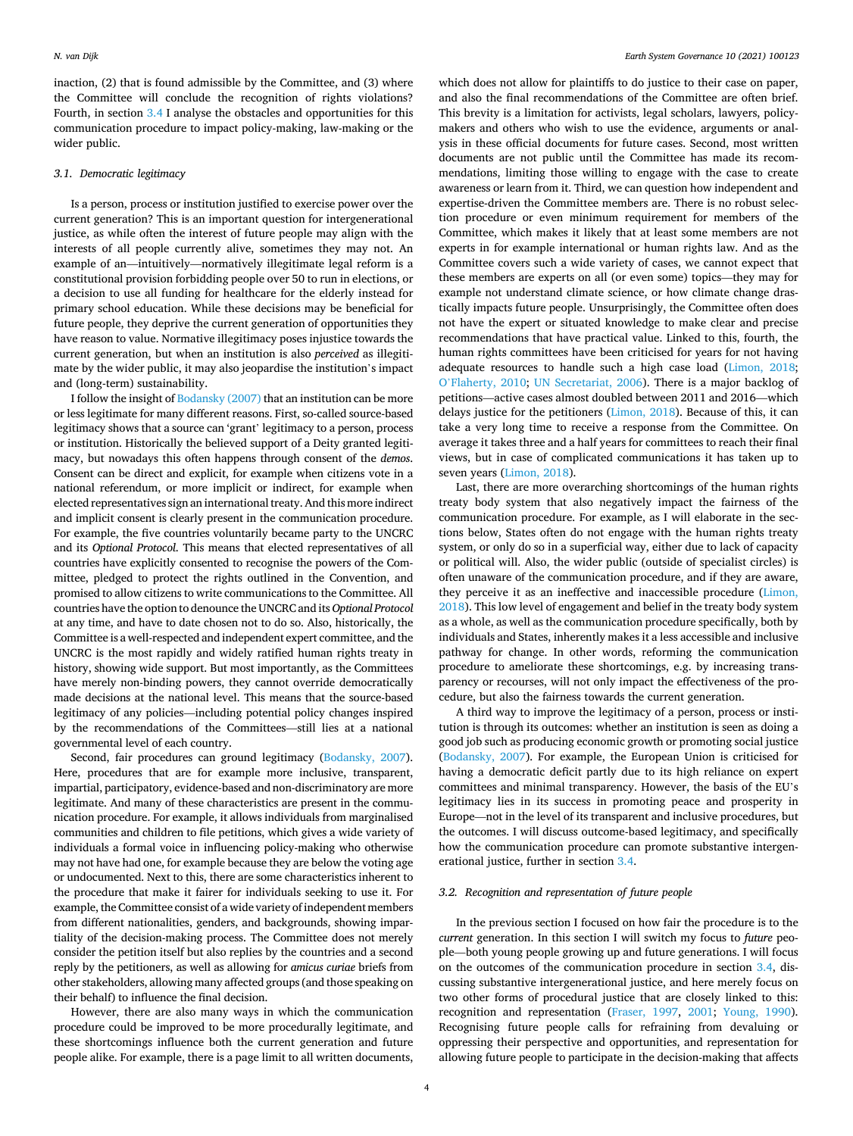<span id="page-3-0"></span>inaction, (2) that is found admissible by the Committee, and (3) where the Committee will conclude the recognition of rights violations? Fourth, in section [3.4](#page-6-0) I analyse the obstacles and opportunities for this communication procedure to impact policy-making, law-making or the wider public.

## *3.1. Democratic legitimacy*

Is a person, process or institution justified to exercise power over the current generation? This is an important question for intergenerational justice, as while often the interest of future people may align with the interests of all people currently alive, sometimes they may not. An example of an—intuitively—normatively illegitimate legal reform is a constitutional provision forbidding people over 50 to run in elections, or a decision to use all funding for healthcare for the elderly instead for primary school education. While these decisions may be beneficial for future people, they deprive the current generation of opportunities they have reason to value. Normative illegitimacy poses injustice towards the current generation, but when an institution is also *perceived* as illegitimate by the wider public, it may also jeopardise the institution's impact and (long-term) sustainability.

I follow the insight of [Bodansky \(2007\)](#page-7-0) that an institution can be more or less legitimate for many different reasons. First, so-called source-based legitimacy shows that a source can 'grant' legitimacy to a person, process or institution. Historically the believed support of a Deity granted legitimacy, but nowadays this often happens through consent of the *demos*. Consent can be direct and explicit, for example when citizens vote in a national referendum, or more implicit or indirect, for example when elected representatives sign an international treaty. And this more indirect and implicit consent is clearly present in the communication procedure. For example, the five countries voluntarily became party to the UNCRC and its *Optional Protocol*. This means that elected representatives of all countries have explicitly consented to recognise the powers of the Committee, pledged to protect the rights outlined in the Convention, and promised to allow citizens to write communications to the Committee. All countries have the option to denounce the UNCRC and its *Optional Protocol*  at any time, and have to date chosen not to do so. Also, historically, the Committee is a well-respected and independent expert committee, and the UNCRC is the most rapidly and widely ratified human rights treaty in history, showing wide support. But most importantly, as the Committees have merely non-binding powers, they cannot override democratically made decisions at the national level. This means that the source-based legitimacy of any policies—including potential policy changes inspired by the recommendations of the Committees—still lies at a national governmental level of each country.

Second, fair procedures can ground legitimacy [\(Bodansky, 2007\)](#page-7-0). Here, procedures that are for example more inclusive, transparent, impartial, participatory, evidence-based and non-discriminatory are more legitimate. And many of these characteristics are present in the communication procedure. For example, it allows individuals from marginalised communities and children to file petitions, which gives a wide variety of individuals a formal voice in influencing policy-making who otherwise may not have had one, for example because they are below the voting age or undocumented. Next to this, there are some characteristics inherent to the procedure that make it fairer for individuals seeking to use it. For example, the Committee consist of a wide variety of independent members from different nationalities, genders, and backgrounds, showing impartiality of the decision-making process. The Committee does not merely consider the petition itself but also replies by the countries and a second reply by the petitioners, as well as allowing for *amicus curiae* briefs from other stakeholders, allowing many affected groups (and those speaking on their behalf) to influence the final decision.

However, there are also many ways in which the communication procedure could be improved to be more procedurally legitimate, and these shortcomings influence both the current generation and future people alike. For example, there is a page limit to all written documents,

which does not allow for plaintiffs to do justice to their case on paper, and also the final recommendations of the Committee are often brief. This brevity is a limitation for activists, legal scholars, lawyers, policymakers and others who wish to use the evidence, arguments or analysis in these official documents for future cases. Second, most written documents are not public until the Committee has made its recommendations, limiting those willing to engage with the case to create awareness or learn from it. Third, we can question how independent and expertise-driven the Committee members are. There is no robust selection procedure or even minimum requirement for members of the Committee, which makes it likely that at least some members are not experts in for example international or human rights law. And as the Committee covers such a wide variety of cases, we cannot expect that these members are experts on all (or even some) topics—they may for example not understand climate science, or how climate change drastically impacts future people. Unsurprisingly, the Committee often does not have the expert or situated knowledge to make clear and precise recommendations that have practical value. Linked to this, fourth, the human rights committees have been criticised for years for not having adequate resources to handle such a high case load ([Limon, 2018](#page-8-0); O'[Flaherty, 2010;](#page-8-0) [UN Secretariat, 2006\)](#page-8-0). There is a major backlog of petitions—active cases almost doubled between 2011 and 2016—which delays justice for the petitioners ([Limon, 2018\)](#page-8-0). Because of this, it can take a very long time to receive a response from the Committee. On average it takes three and a half years for committees to reach their final views, but in case of complicated communications it has taken up to seven years ([Limon, 2018](#page-8-0)).

Last, there are more overarching shortcomings of the human rights treaty body system that also negatively impact the fairness of the communication procedure. For example, as I will elaborate in the sections below, States often do not engage with the human rights treaty system, or only do so in a superficial way, either due to lack of capacity or political will. Also, the wider public (outside of specialist circles) is often unaware of the communication procedure, and if they are aware, they perceive it as an ineffective and inaccessible procedure [\(Limon,](#page-8-0)  [2018\)](#page-8-0). This low level of engagement and belief in the treaty body system as a whole, as well as the communication procedure specifically, both by individuals and States, inherently makes it a less accessible and inclusive pathway for change. In other words, reforming the communication procedure to ameliorate these shortcomings, e.g. by increasing transparency or recourses, will not only impact the effectiveness of the procedure, but also the fairness towards the current generation.

A third way to improve the legitimacy of a person, process or institution is through its outcomes: whether an institution is seen as doing a good job such as producing economic growth or promoting social justice ([Bodansky, 2007](#page-7-0)). For example, the European Union is criticised for having a democratic deficit partly due to its high reliance on expert committees and minimal transparency. However, the basis of the EU's legitimacy lies in its success in promoting peace and prosperity in Europe—not in the level of its transparent and inclusive procedures, but the outcomes. I will discuss outcome-based legitimacy, and specifically how the communication procedure can promote substantive intergenerational justice, further in section [3.4.](#page-6-0)

## *3.2. Recognition and representation of future people*

In the previous section I focused on how fair the procedure is to the *current* generation. In this section I will switch my focus to *future* people—both young people growing up and future generations. I will focus on the outcomes of the communication procedure in section [3.4,](#page-6-0) discussing substantive intergenerational justice, and here merely focus on two other forms of procedural justice that are closely linked to this: recognition and representation [\(Fraser, 1997,](#page-8-0) [2001](#page-8-0); [Young, 1990](#page-9-0)). Recognising future people calls for refraining from devaluing or oppressing their perspective and opportunities, and representation for allowing future people to participate in the decision-making that affects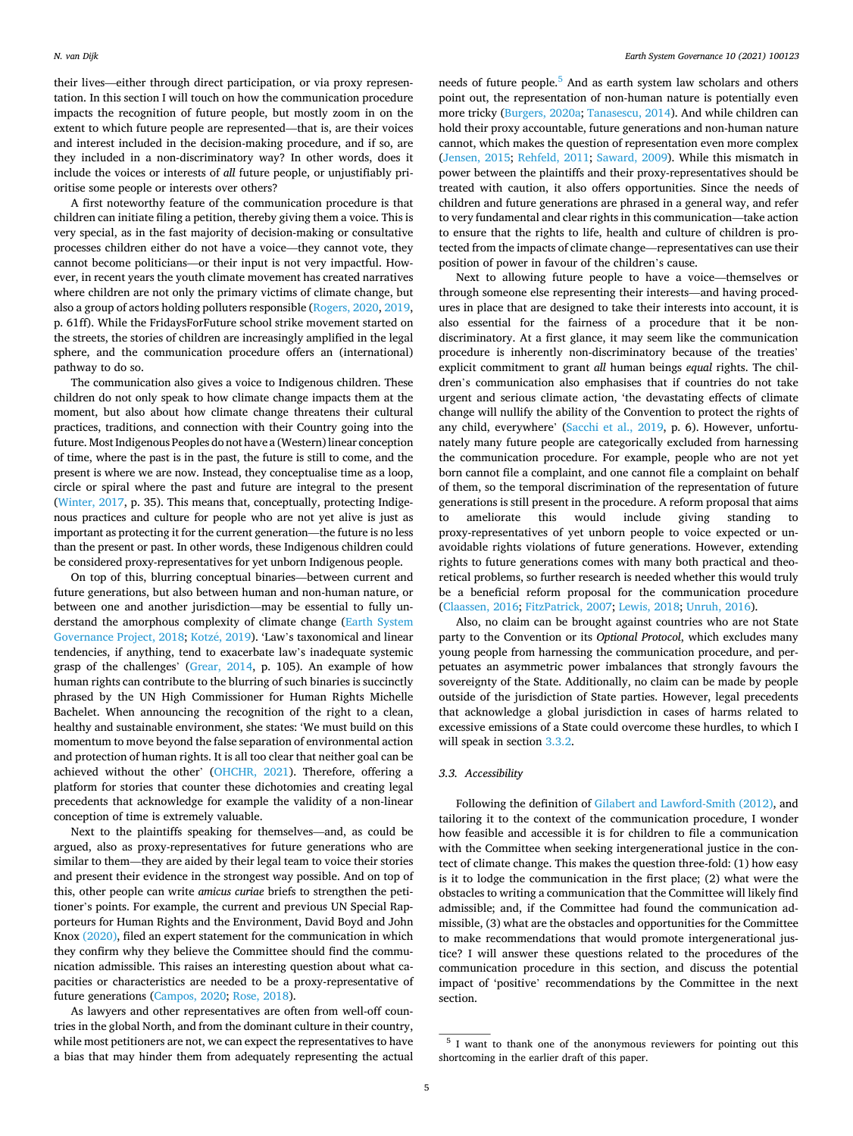<span id="page-4-0"></span>their lives—either through direct participation, or via proxy representation. In this section I will touch on how the communication procedure impacts the recognition of future people, but mostly zoom in on the extent to which future people are represented—that is, are their voices and interest included in the decision-making procedure, and if so, are they included in a non-discriminatory way? In other words, does it include the voices or interests of *all* future people, or unjustifiably prioritise some people or interests over others?

A first noteworthy feature of the communication procedure is that children can initiate filing a petition, thereby giving them a voice. This is very special, as in the fast majority of decision-making or consultative processes children either do not have a voice—they cannot vote, they cannot become politicians—or their input is not very impactful. However, in recent years the youth climate movement has created narratives where children are not only the primary victims of climate change, but also a group of actors holding polluters responsible ([Rogers, 2020, 2019](#page-8-0), p. 61ff). While the FridaysForFuture school strike movement started on the streets, the stories of children are increasingly amplified in the legal sphere, and the communication procedure offers an (international) pathway to do so.

The communication also gives a voice to Indigenous children. These children do not only speak to how climate change impacts them at the moment, but also about how climate change threatens their cultural practices, traditions, and connection with their Country going into the future. Most Indigenous Peoples do not have a (Western) linear conception of time, where the past is in the past, the future is still to come, and the present is where we are now. Instead, they conceptualise time as a loop, circle or spiral where the past and future are integral to the present ([Winter, 2017,](#page-9-0) p. 35). This means that, conceptually, protecting Indigenous practices and culture for people who are not yet alive is just as important as protecting it for the current generation—the future is no less than the present or past. In other words, these Indigenous children could be considered proxy-representatives for yet unborn Indigenous people.

On top of this, blurring conceptual binaries—between current and future generations, but also between human and non-human nature, or between one and another jurisdiction—may be essential to fully understand the amorphous complexity of climate change [\(Earth System](#page-8-0)  [Governance Project, 2018;](#page-8-0) Kotzé, 2019). 'Law's taxonomical and linear tendencies, if anything, tend to exacerbate law's inadequate systemic grasp of the challenges' ([Grear, 2014](#page-8-0), p. 105). An example of how human rights can contribute to the blurring of such binaries is succinctly phrased by the UN High Commissioner for Human Rights Michelle Bachelet. When announcing the recognition of the right to a clean, healthy and sustainable environment, she states: 'We must build on this momentum to move beyond the false separation of environmental action and protection of human rights. It is all too clear that neither goal can be achieved without the other' ([OHCHR, 2021\)](#page-8-0). Therefore, offering a platform for stories that counter these dichotomies and creating legal precedents that acknowledge for example the validity of a non-linear conception of time is extremely valuable.

Next to the plaintiffs speaking for themselves—and, as could be argued, also as proxy-representatives for future generations who are similar to them—they are aided by their legal team to voice their stories and present their evidence in the strongest way possible. And on top of this, other people can write *amicus curiae* briefs to strengthen the petitioner's points. For example, the current and previous UN Special Rapporteurs for Human Rights and the Environment, David Boyd and John Knox [\(2020\),](#page-7-0) filed an expert statement for the communication in which they confirm why they believe the Committee should find the communication admissible. This raises an interesting question about what capacities or characteristics are needed to be a proxy-representative of future generations ([Campos, 2020;](#page-8-0) [Rose, 2018\)](#page-8-0).

As lawyers and other representatives are often from well-off countries in the global North, and from the dominant culture in their country, while most petitioners are not, we can expect the representatives to have a bias that may hinder them from adequately representing the actual needs of future people.<sup>5</sup> And as earth system law scholars and others point out, the representation of non-human nature is potentially even more tricky ([Burgers, 2020a; Tanasescu, 2014](#page-8-0)). And while children can hold their proxy accountable, future generations and non-human nature cannot, which makes the question of representation even more complex ([Jensen, 2015;](#page-8-0) [Rehfeld, 2011;](#page-8-0) [Saward, 2009](#page-8-0)). While this mismatch in power between the plaintiffs and their proxy-representatives should be treated with caution, it also offers opportunities. Since the needs of children and future generations are phrased in a general way, and refer to very fundamental and clear rights in this communication—take action to ensure that the rights to life, health and culture of children is protected from the impacts of climate change—representatives can use their position of power in favour of the children's cause.

Next to allowing future people to have a voice—themselves or through someone else representing their interests—and having procedures in place that are designed to take their interests into account, it is also essential for the fairness of a procedure that it be nondiscriminatory. At a first glance, it may seem like the communication procedure is inherently non-discriminatory because of the treaties' explicit commitment to grant *all* human beings *equal* rights. The children's communication also emphasises that if countries do not take urgent and serious climate action, 'the devastating effects of climate change will nullify the ability of the Convention to protect the rights of any child, everywhere' ([Sacchi et al., 2019](#page-8-0), p. 6). However, unfortunately many future people are categorically excluded from harnessing the communication procedure. For example, people who are not yet born cannot file a complaint, and one cannot file a complaint on behalf of them, so the temporal discrimination of the representation of future generations is still present in the procedure. A reform proposal that aims to ameliorate this would include giving standing to proxy-representatives of yet unborn people to voice expected or unavoidable rights violations of future generations. However, extending rights to future generations comes with many both practical and theoretical problems, so further research is needed whether this would truly be a beneficial reform proposal for the communication procedure ([Claassen, 2016](#page-8-0); [FitzPatrick, 2007; Lewis, 2018;](#page-8-0) [Unruh, 2016](#page-9-0)).

Also, no claim can be brought against countries who are not State party to the Convention or its *Optional Protocol*, which excludes many young people from harnessing the communication procedure, and perpetuates an asymmetric power imbalances that strongly favours the sovereignty of the State. Additionally, no claim can be made by people outside of the jurisdiction of State parties. However, legal precedents that acknowledge a global jurisdiction in cases of harms related to excessive emissions of a State could overcome these hurdles, to which I will speak in section [3.3.2](#page-5-0).

## *3.3. Accessibility*

Following the definition of [Gilabert and Lawford-Smith \(2012\)](#page-8-0), and tailoring it to the context of the communication procedure, I wonder how feasible and accessible it is for children to file a communication with the Committee when seeking intergenerational justice in the contect of climate change. This makes the question three-fold: (1) how easy is it to lodge the communication in the first place; (2) what were the obstacles to writing a communication that the Committee will likely find admissible; and, if the Committee had found the communication admissible, (3) what are the obstacles and opportunities for the Committee to make recommendations that would promote intergenerational justice? I will answer these questions related to the procedures of the communication procedure in this section, and discuss the potential impact of 'positive' recommendations by the Committee in the next section.

<sup>5</sup> I want to thank one of the anonymous reviewers for pointing out this shortcoming in the earlier draft of this paper.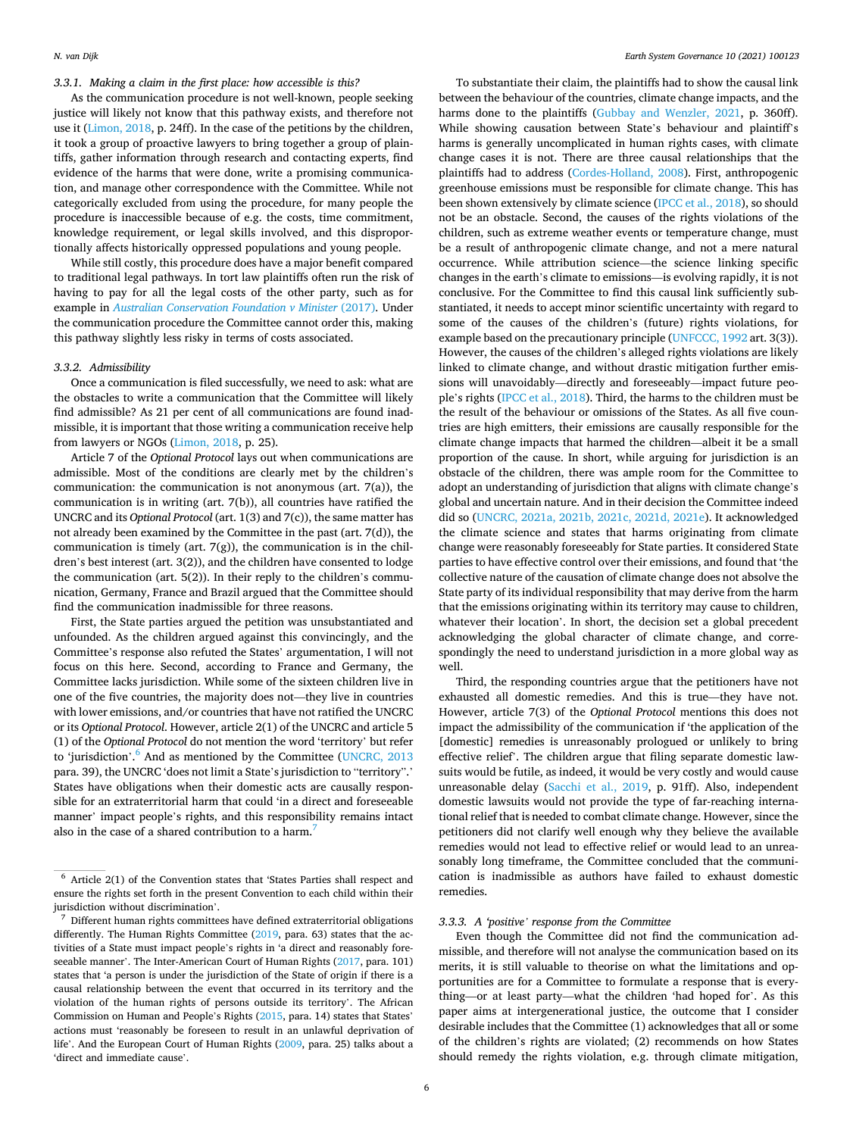<span id="page-5-0"></span>*3.3.1. Making a claim in the first place: how accessible is this?* 

As the communication procedure is not well-known, people seeking justice will likely not know that this pathway exists, and therefore not use it [\(Limon, 2018,](#page-8-0) p. 24ff). In the case of the petitions by the children, it took a group of proactive lawyers to bring together a group of plaintiffs, gather information through research and contacting experts, find evidence of the harms that were done, write a promising communication, and manage other correspondence with the Committee. While not categorically excluded from using the procedure, for many people the procedure is inaccessible because of e.g. the costs, time commitment, knowledge requirement, or legal skills involved, and this disproportionally affects historically oppressed populations and young people.

While still costly, this procedure does have a major benefit compared to traditional legal pathways. In tort law plaintiffs often run the risk of having to pay for all the legal costs of the other party, such as for example in *Australian Conservation Foundation v Minister* (2017). Under the communication procedure the Committee cannot order this, making this pathway slightly less risky in terms of costs associated.

## *3.3.2. Admissibility*

Once a communication is filed successfully, we need to ask: what are the obstacles to write a communication that the Committee will likely find admissible? As 21 per cent of all communications are found inadmissible, it is important that those writing a communication receive help from lawyers or NGOs ([Limon, 2018,](#page-8-0) p. 25).

Article 7 of the *Optional Protocol* lays out when communications are admissible. Most of the conditions are clearly met by the children's communication: the communication is not anonymous (art. 7(a)), the communication is in writing (art. 7(b)), all countries have ratified the UNCRC and its *Optional Protocol* (art. 1(3) and 7(c)), the same matter has not already been examined by the Committee in the past (art. 7(d)), the communication is timely (art. 7(g)), the communication is in the children's best interest (art. 3(2)), and the children have consented to lodge the communication (art. 5(2)). In their reply to the children's communication, Germany, France and Brazil argued that the Committee should find the communication inadmissible for three reasons.

First, the State parties argued the petition was unsubstantiated and unfounded. As the children argued against this convincingly, and the Committee's response also refuted the States' argumentation, I will not focus on this here. Second, according to France and Germany, the Committee lacks jurisdiction. While some of the sixteen children live in one of the five countries, the majority does not—they live in countries with lower emissions, and/or countries that have not ratified the UNCRC or its *Optional Protocol*. However, article 2(1) of the UNCRC and article 5 (1) of the *Optional Protocol* do not mention the word 'territory' but refer to 'jurisdiction'.<sup>6</sup> And as mentioned by the Committee (UNCRC, 2013 para. 39), the UNCRC 'does not limit a State's jurisdiction to "territory".' States have obligations when their domestic acts are causally responsible for an extraterritorial harm that could 'in a direct and foreseeable manner' impact people's rights, and this responsibility remains intact also in the case of a shared contribution to a harm.<sup>7</sup>

To substantiate their claim, the plaintiffs had to show the causal link between the behaviour of the countries, climate change impacts, and the harms done to the plaintiffs ([Gubbay and Wenzler, 2021](#page-8-0), p. 360ff). While showing causation between State's behaviour and plaintiff's harms is generally uncomplicated in human rights cases, with climate change cases it is not. There are three causal relationships that the plaintiffs had to address ([Cordes-Holland, 2008\)](#page-8-0). First, anthropogenic greenhouse emissions must be responsible for climate change. This has been shown extensively by climate science ([IPCC et al., 2018\)](#page-8-0), so should not be an obstacle. Second, the causes of the rights violations of the children, such as extreme weather events or temperature change, must be a result of anthropogenic climate change, and not a mere natural occurrence. While attribution science—the science linking specific changes in the earth's climate to emissions—is evolving rapidly, it is not conclusive. For the Committee to find this causal link sufficiently substantiated, it needs to accept minor scientific uncertainty with regard to some of the causes of the children's (future) rights violations, for example based on the precautionary principle ([UNFCCC, 1992](#page-9-0) art. 3(3)). However, the causes of the children's alleged rights violations are likely linked to climate change, and without drastic mitigation further emissions will unavoidably—directly and foreseeably—impact future people's rights [\(IPCC et al., 2018](#page-8-0)). Third, the harms to the children must be the result of the behaviour or omissions of the States. As all five countries are high emitters, their emissions are causally responsible for the climate change impacts that harmed the children—albeit it be a small proportion of the cause. In short, while arguing for jurisdiction is an obstacle of the children, there was ample room for the Committee to adopt an understanding of jurisdiction that aligns with climate change's global and uncertain nature. And in their decision the Committee indeed did so ([UNCRC, 2021a, 2021b, 2021c, 2021d, 2021e](#page-8-0)). It acknowledged the climate science and states that harms originating from climate change were reasonably foreseeably for State parties. It considered State parties to have effective control over their emissions, and found that 'the collective nature of the causation of climate change does not absolve the State party of its individual responsibility that may derive from the harm that the emissions originating within its territory may cause to children, whatever their location'. In short, the decision set a global precedent acknowledging the global character of climate change, and correspondingly the need to understand jurisdiction in a more global way as well.

Third, the responding countries argue that the petitioners have not exhausted all domestic remedies. And this is true—they have not. However, article 7(3) of the *Optional Protocol* mentions this does not impact the admissibility of the communication if 'the application of the [domestic] remedies is unreasonably prologued or unlikely to bring effective relief'. The children argue that filing separate domestic lawsuits would be futile, as indeed, it would be very costly and would cause unreasonable delay [\(Sacchi et al., 2019,](#page-8-0) p. 91ff). Also, independent domestic lawsuits would not provide the type of far-reaching international relief that is needed to combat climate change. However, since the petitioners did not clarify well enough why they believe the available remedies would not lead to effective relief or would lead to an unreasonably long timeframe, the Committee concluded that the communication is inadmissible as authors have failed to exhaust domestic remedies.

#### *3.3.3. A 'positive' response from the Committee*

Even though the Committee did not find the communication admissible, and therefore will not analyse the communication based on its merits, it is still valuable to theorise on what the limitations and opportunities are for a Committee to formulate a response that is everything—or at least party—what the children 'had hoped for'. As this paper aims at intergenerational justice, the outcome that I consider desirable includes that the Committee (1) acknowledges that all or some of the children's rights are violated; (2) recommends on how States should remedy the rights violation, e.g. through climate mitigation,

<sup>6</sup> Article 2(1) of the Convention states that 'States Parties shall respect and ensure the rights set forth in the present Convention to each child within their jurisdiction without discrimination'. 7 Different human rights committees have defined extraterritorial obligations

differently. The Human Rights Committee [\(2019](#page-8-0), para. 63) states that the activities of a State must impact people's rights in 'a direct and reasonably foreseeable manner'. The Inter-American Court of Human Rights ([2017,](#page-8-0) para. 101) states that 'a person is under the jurisdiction of the State of origin if there is a causal relationship between the event that occurred in its territory and the violation of the human rights of persons outside its territory'. The African Commission on Human and People's Rights [\(2015,](#page-7-0) para. 14) states that States' actions must 'reasonably be foreseen to result in an unlawful deprivation of life'. And the European Court of Human Rights ([2009,](#page-7-0) para. 25) talks about a 'direct and immediate cause'.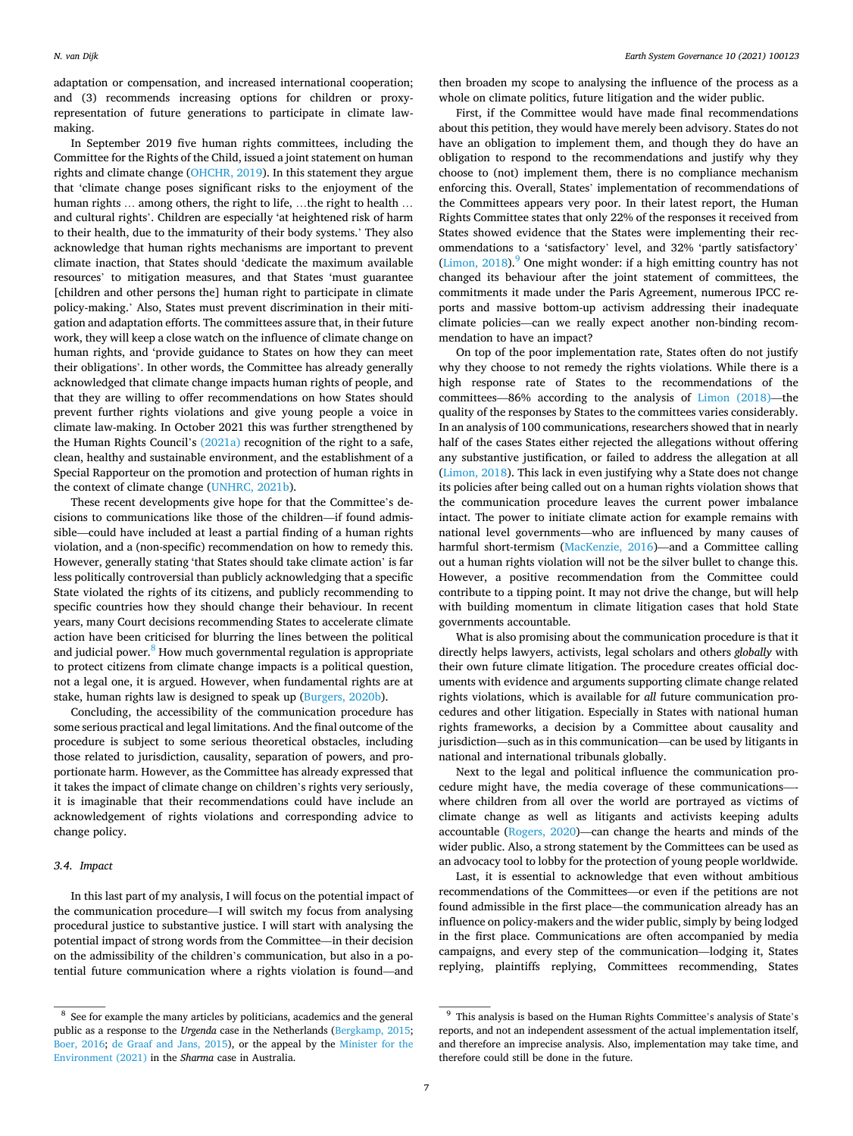<span id="page-6-0"></span>adaptation or compensation, and increased international cooperation; and (3) recommends increasing options for children or proxyrepresentation of future generations to participate in climate lawmaking.

In September 2019 five human rights committees, including the Committee for the Rights of the Child, issued a joint statement on human rights and climate change [\(OHCHR, 2019](#page-8-0)). In this statement they argue that 'climate change poses significant risks to the enjoyment of the human rights … among others, the right to life, …the right to health … and cultural rights'. Children are especially 'at heightened risk of harm to their health, due to the immaturity of their body systems.' They also acknowledge that human rights mechanisms are important to prevent climate inaction, that States should 'dedicate the maximum available resources' to mitigation measures, and that States 'must guarantee [children and other persons the] human right to participate in climate policy-making.' Also, States must prevent discrimination in their mitigation and adaptation efforts. The committees assure that, in their future work, they will keep a close watch on the influence of climate change on human rights, and 'provide guidance to States on how they can meet their obligations'. In other words, the Committee has already generally acknowledged that climate change impacts human rights of people, and that they are willing to offer recommendations on how States should prevent further rights violations and give young people a voice in climate law-making. In October 2021 this was further strengthened by the Human Rights Council's [\(2021a\)](#page-9-0) recognition of the right to a safe, clean, healthy and sustainable environment, and the establishment of a Special Rapporteur on the promotion and protection of human rights in the context of climate change ([UNHRC, 2021b](#page-9-0)).

These recent developments give hope for that the Committee's decisions to communications like those of the children—if found admissible—could have included at least a partial finding of a human rights violation, and a (non-specific) recommendation on how to remedy this. However, generally stating 'that States should take climate action' is far less politically controversial than publicly acknowledging that a specific State violated the rights of its citizens, and publicly recommending to specific countries how they should change their behaviour. In recent years, many Court decisions recommending States to accelerate climate action have been criticised for blurring the lines between the political and judicial power.<sup>8</sup> How much governmental regulation is appropriate to protect citizens from climate change impacts is a political question, not a legal one, it is argued. However, when fundamental rights are at stake, human rights law is designed to speak up [\(Burgers, 2020b](#page-8-0)).

Concluding, the accessibility of the communication procedure has some serious practical and legal limitations. And the final outcome of the procedure is subject to some serious theoretical obstacles, including those related to jurisdiction, causality, separation of powers, and proportionate harm. However, as the Committee has already expressed that it takes the impact of climate change on children's rights very seriously, it is imaginable that their recommendations could have include an acknowledgement of rights violations and corresponding advice to change policy.

#### *3.4. Impact*

In this last part of my analysis, I will focus on the potential impact of the communication procedure—I will switch my focus from analysing procedural justice to substantive justice. I will start with analysing the potential impact of strong words from the Committee—in their decision on the admissibility of the children's communication, but also in a potential future communication where a rights violation is found—and

then broaden my scope to analysing the influence of the process as a whole on climate politics, future litigation and the wider public.

First, if the Committee would have made final recommendations about this petition, they would have merely been advisory. States do not have an obligation to implement them, and though they do have an obligation to respond to the recommendations and justify why they choose to (not) implement them, there is no compliance mechanism enforcing this. Overall, States' implementation of recommendations of the Committees appears very poor. In their latest report, the Human Rights Committee states that only 22% of the responses it received from States showed evidence that the States were implementing their recommendations to a 'satisfactory' level, and 32% 'partly satisfactory' (Limon,  $2018$ ).<sup>9</sup> One might wonder: if a high emitting country has not changed its behaviour after the joint statement of committees, the commitments it made under the Paris Agreement, numerous IPCC reports and massive bottom-up activism addressing their inadequate climate policies—can we really expect another non-binding recommendation to have an impact?

On top of the poor implementation rate, States often do not justify why they choose to not remedy the rights violations. While there is a high response rate of States to the recommendations of the committees—86% according to the analysis of [Limon \(2018\)](#page-8-0)—the quality of the responses by States to the committees varies considerably. In an analysis of 100 communications, researchers showed that in nearly half of the cases States either rejected the allegations without offering any substantive justification, or failed to address the allegation at all ([Limon, 2018](#page-8-0)). This lack in even justifying why a State does not change its policies after being called out on a human rights violation shows that the communication procedure leaves the current power imbalance intact. The power to initiate climate action for example remains with national level governments—who are influenced by many causes of harmful short-termism [\(MacKenzie, 2016](#page-8-0))—and a Committee calling out a human rights violation will not be the silver bullet to change this. However, a positive recommendation from the Committee could contribute to a tipping point. It may not drive the change, but will help with building momentum in climate litigation cases that hold State governments accountable.

What is also promising about the communication procedure is that it directly helps lawyers, activists, legal scholars and others *globally* with their own future climate litigation. The procedure creates official documents with evidence and arguments supporting climate change related rights violations, which is available for *all* future communication procedures and other litigation. Especially in States with national human rights frameworks, a decision by a Committee about causality and jurisdiction—such as in this communication—can be used by litigants in national and international tribunals globally.

Next to the legal and political influence the communication procedure might have, the media coverage of these communications—where children from all over the world are portrayed as victims of climate change as well as litigants and activists keeping adults accountable [\(Rogers, 2020](#page-8-0))—can change the hearts and minds of the wider public. Also, a strong statement by the Committees can be used as an advocacy tool to lobby for the protection of young people worldwide.

Last, it is essential to acknowledge that even without ambitious recommendations of the Committees—or even if the petitions are not found admissible in the first place—the communication already has an influence on policy-makers and the wider public, simply by being lodged in the first place. Communications are often accompanied by media campaigns, and every step of the communication—lodging it, States replying, plaintiffs replying, Committees recommending, States

<sup>8</sup> See for example the many articles by politicians, academics and the general public as a response to the *Urgenda* case in the Netherlands [\(Bergkamp, 2015;](#page-7-0) [Boer, 2016](#page-7-0); [de Graaf and Jans, 2015](#page-8-0)), or the appeal by the [Minister for the](#page-8-0)  [Environment \(2021\)](#page-8-0) in the *Sharma* case in Australia.

 $^9\,$  This analysis is based on the Human Rights Committee's analysis of State's reports, and not an independent assessment of the actual implementation itself, and therefore an imprecise analysis. Also, implementation may take time, and therefore could still be done in the future.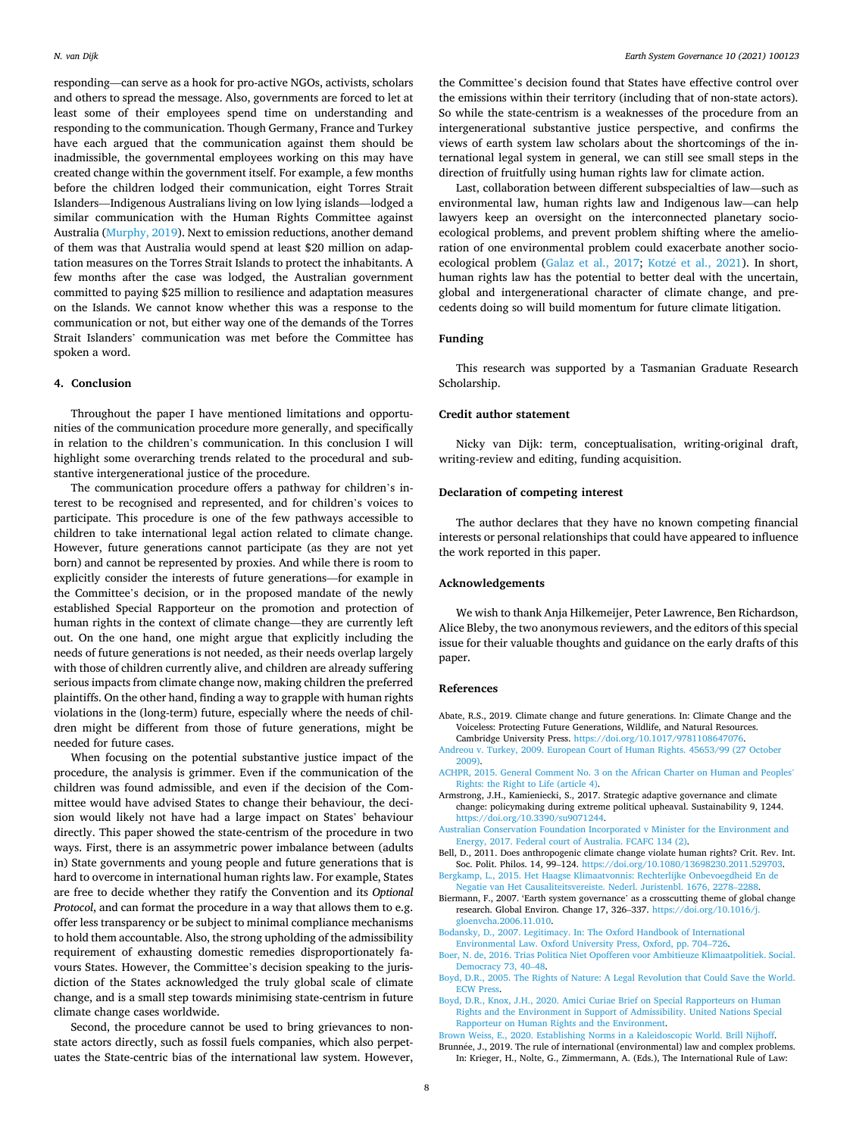<span id="page-7-0"></span>responding—can serve as a hook for pro-active NGOs, activists, scholars and others to spread the message. Also, governments are forced to let at least some of their employees spend time on understanding and responding to the communication. Though Germany, France and Turkey have each argued that the communication against them should be inadmissible, the governmental employees working on this may have created change within the government itself. For example, a few months before the children lodged their communication, eight Torres Strait Islanders—Indigenous Australians living on low lying islands—lodged a similar communication with the Human Rights Committee against Australia [\(Murphy, 2019](#page-8-0)). Next to emission reductions, another demand of them was that Australia would spend at least \$20 million on adaptation measures on the Torres Strait Islands to protect the inhabitants. A few months after the case was lodged, the Australian government committed to paying \$25 million to resilience and adaptation measures on the Islands. We cannot know whether this was a response to the communication or not, but either way one of the demands of the Torres Strait Islanders' communication was met before the Committee has spoken a word.

#### **4. Conclusion**

Throughout the paper I have mentioned limitations and opportunities of the communication procedure more generally, and specifically in relation to the children's communication. In this conclusion I will highlight some overarching trends related to the procedural and substantive intergenerational justice of the procedure.

The communication procedure offers a pathway for children's interest to be recognised and represented, and for children's voices to participate. This procedure is one of the few pathways accessible to children to take international legal action related to climate change. However, future generations cannot participate (as they are not yet born) and cannot be represented by proxies. And while there is room to explicitly consider the interests of future generations—for example in the Committee's decision, or in the proposed mandate of the newly established Special Rapporteur on the promotion and protection of human rights in the context of climate change—they are currently left out. On the one hand, one might argue that explicitly including the needs of future generations is not needed, as their needs overlap largely with those of children currently alive, and children are already suffering serious impacts from climate change now, making children the preferred plaintiffs. On the other hand, finding a way to grapple with human rights violations in the (long-term) future, especially where the needs of children might be different from those of future generations, might be needed for future cases.

When focusing on the potential substantive justice impact of the procedure, the analysis is grimmer. Even if the communication of the children was found admissible, and even if the decision of the Committee would have advised States to change their behaviour, the decision would likely not have had a large impact on States' behaviour directly. This paper showed the state-centrism of the procedure in two ways. First, there is an assymmetric power imbalance between (adults in) State governments and young people and future generations that is hard to overcome in international human rights law. For example, States are free to decide whether they ratify the Convention and its *Optional Protocol*, and can format the procedure in a way that allows them to e.g. offer less transparency or be subject to minimal compliance mechanisms to hold them accountable. Also, the strong upholding of the admissibility requirement of exhausting domestic remedies disproportionately favours States. However, the Committee's decision speaking to the jurisdiction of the States acknowledged the truly global scale of climate change, and is a small step towards minimising state-centrism in future climate change cases worldwide.

Second, the procedure cannot be used to bring grievances to nonstate actors directly, such as fossil fuels companies, which also perpetuates the State-centric bias of the international law system. However,

the Committee's decision found that States have effective control over the emissions within their territory (including that of non-state actors). So while the state-centrism is a weaknesses of the procedure from an intergenerational substantive justice perspective, and confirms the views of earth system law scholars about the shortcomings of the international legal system in general, we can still see small steps in the direction of fruitfully using human rights law for climate action.

Last, collaboration between different subspecialties of law—such as environmental law, human rights law and Indigenous law—can help lawyers keep an oversight on the interconnected planetary socioecological problems, and prevent problem shifting where the amelioration of one environmental problem could exacerbate another socio-ecological problem [\(Galaz et al., 2017;](#page-8-0) Kotzé et al., 2021). In short, human rights law has the potential to better deal with the uncertain, global and intergenerational character of climate change, and precedents doing so will build momentum for future climate litigation.

## **Funding**

This research was supported by a Tasmanian Graduate Research Scholarship.

#### **Credit author statement**

Nicky van Dijk: term, conceptualisation, writing-original draft, writing-review and editing, funding acquisition.

## **Declaration of competing interest**

The author declares that they have no known competing financial interests or personal relationships that could have appeared to influence the work reported in this paper.

## **Acknowledgements**

We wish to thank Anja Hilkemeijer, Peter Lawrence, Ben Richardson, Alice Bleby, the two anonymous reviewers, and the editors of this special issue for their valuable thoughts and guidance on the early drafts of this paper.

#### **References**

- Abate, R.S., 2019. Climate change and future generations. In: Climate Change and the Voiceless: Protecting Future Generations, Wildlife, and Natural Resources. Cambridge University Press. <https://doi.org/10.1017/9781108647076>.
- [Andreou v. Turkey, 2009. European Court of Human Rights. 45653/99 \(27 October](http://refhub.elsevier.com/S2589-8116(21)00027-6/sref2)  [2009\)](http://refhub.elsevier.com/S2589-8116(21)00027-6/sref2).
- [ACHPR, 2015. General Comment No. 3 on the African Charter on Human and Peoples](http://refhub.elsevier.com/S2589-8116(21)00027-6/sref3)' [Rights: the Right to Life \(article 4\)](http://refhub.elsevier.com/S2589-8116(21)00027-6/sref3).
- Armstrong, J.H., Kamieniecki, S., 2017. Strategic adaptive governance and climate change: policymaking during extreme political upheaval. Sustainability 9, 1244. [https://doi.org/10.3390/su9071244.](https://doi.org/10.3390/su9071244)
- [Australian Conservation Foundation Incorporated v Minister for the Environment and](http://refhub.elsevier.com/S2589-8116(21)00027-6/sref5) [Energy, 2017. Federal court of Australia. FCAFC 134 \(2\).](http://refhub.elsevier.com/S2589-8116(21)00027-6/sref5)
- Bell, D., 2011. Does anthropogenic climate change violate human rights? Crit. Rev. Int. Soc. Polit. Philos. 14, 99-124. https://doi.org/10.1080/13698230.2011.5297
- [Bergkamp, L., 2015. Het Haagse Klimaatvonnis: Rechterlijke Onbevoegdheid En de](http://refhub.elsevier.com/S2589-8116(21)00027-6/sref7)  [Negatie van Het Causaliteitsvereiste. Nederl. Juristenbl. 1676, 2278](http://refhub.elsevier.com/S2589-8116(21)00027-6/sref7)–2288.
- Biermann, F., 2007. 'Earth system governance' as a crosscutting theme of global change research. Global Environ. Change 17, 326–337. [https://doi.org/10.1016/j.](https://doi.org/10.1016/j.gloenvcha.2006.11.010) [gloenvcha.2006.11.010.](https://doi.org/10.1016/j.gloenvcha.2006.11.010)
- [Bodansky, D., 2007. Legitimacy. In: The Oxford Handbook of International](http://refhub.elsevier.com/S2589-8116(21)00027-6/sref9) [Environmental Law. Oxford University Press, Oxford, pp. 704](http://refhub.elsevier.com/S2589-8116(21)00027-6/sref9)–726.
- [Boer, N. de, 2016. Trias Politica Niet Opofferen voor Ambitieuze Klimaatpolitiek. Social.](http://refhub.elsevier.com/S2589-8116(21)00027-6/sref10)  [Democracy 73, 40](http://refhub.elsevier.com/S2589-8116(21)00027-6/sref10)–48.
- [Boyd, D.R., 2005. The Rights of Nature: A Legal Revolution that Could Save the World.](http://refhub.elsevier.com/S2589-8116(21)00027-6/sref11)  [ECW Press.](http://refhub.elsevier.com/S2589-8116(21)00027-6/sref11)
- [Boyd, D.R., Knox, J.H., 2020. Amici Curiae Brief on Special Rapporteurs on Human](http://refhub.elsevier.com/S2589-8116(21)00027-6/sref12) [Rights and the Environment in Support of Admissibility. United Nations Special](http://refhub.elsevier.com/S2589-8116(21)00027-6/sref12) [Rapporteur on Human Rights and the Environment.](http://refhub.elsevier.com/S2589-8116(21)00027-6/sref12)
- [Brown Weiss, E., 2020. Establishing Norms in a Kaleidoscopic World. Brill Nijhoff.](http://refhub.elsevier.com/S2589-8116(21)00027-6/sref13) Brunnée, J., 2019. The rule of international (environmental) law and complex problems.
- In: Krieger, H., Nolte, G., Zimmermann, A. (Eds.), The International Rule of Law: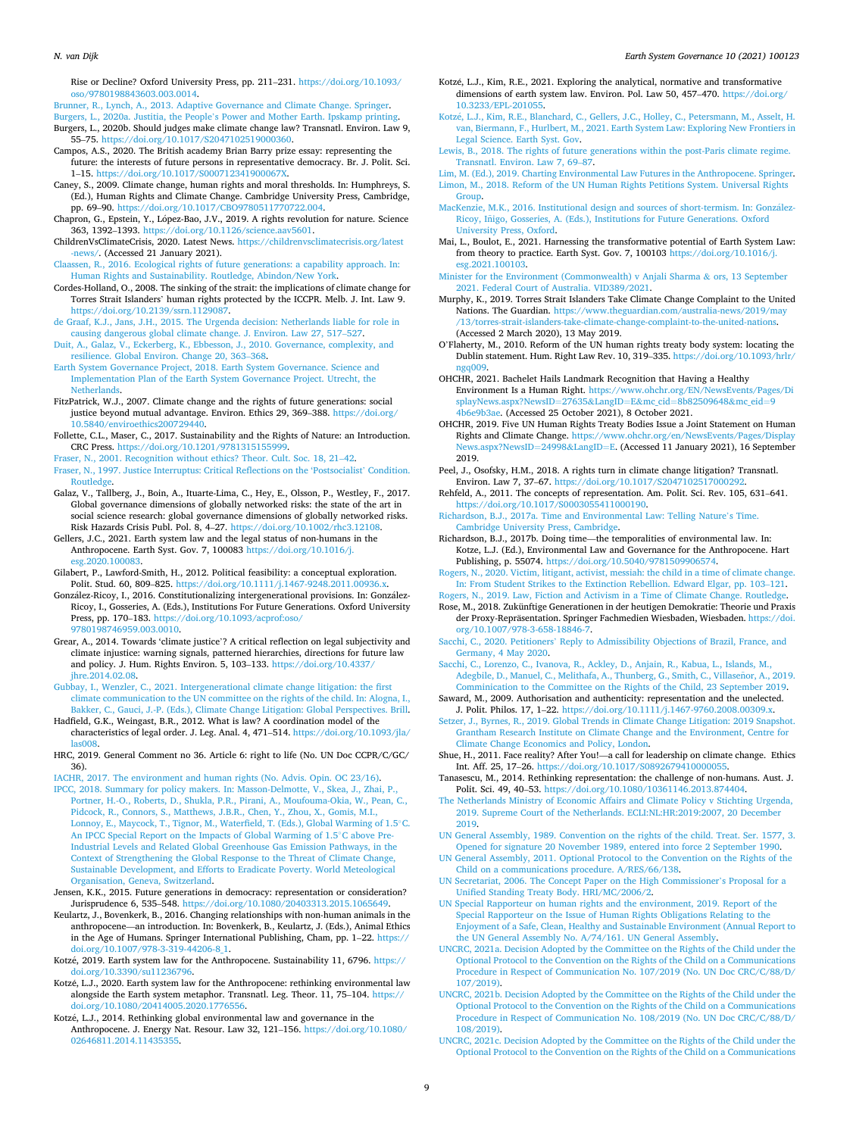#### <span id="page-8-0"></span>*N. van Dijk*

Rise or Decline? Oxford University Press, pp. 211–231. [https://doi.org/10.1093/](https://doi.org/10.1093/oso/9780198843603.003.0014) [oso/9780198843603.003.0014.](https://doi.org/10.1093/oso/9780198843603.003.0014)

[Brunner, R., Lynch, A., 2013. Adaptive Governance and Climate Change. Springer.](http://refhub.elsevier.com/S2589-8116(21)00027-6/sref15)

- Burgers, L., 2020a. Justitia, the People'[s Power and Mother Earth. Ipskamp printing.](http://refhub.elsevier.com/S2589-8116(21)00027-6/sref16)
- Burgers, L., 2020b. Should judges make climate change law? Transnatl. Environ. Law 9, 55–75. [https://doi.org/10.1017/S2047102519000360.](https://doi.org/10.1017/S2047102519000360)
- Campos, A.S., 2020. The British academy Brian Barry prize essay: representing the future: the interests of future persons in representative democracy. Br. J. Polit. Sci. 1–15.<https://doi.org/10.1017/S000712341900067X>.
- Caney, S., 2009. Climate change, human rights and moral thresholds. In: Humphreys, S. (Ed.), Human Rights and Climate Change. Cambridge University Press, Cambridge, pp. 69–90. [https://doi.org/10.1017/CBO9780511770722.004.](https://doi.org/10.1017/CBO9780511770722.004)
- Chapron, G., Epstein, Y., López-Bao, J.V., 2019. A rights revolution for nature. Science 363, 1392–1393. <https://doi.org/10.1126/science.aav5601>.
- ChildrenVsClimateCrisis, 2020. Latest News. [https://childrenvsclimatecrisis.org/latest](https://childrenvsclimatecrisis.org/latest-news/)  [-news/.](https://childrenvsclimatecrisis.org/latest-news/) (Accessed 21 January 2021).
- [Claassen, R., 2016. Ecological rights of future generations: a capability approach. In:](http://refhub.elsevier.com/S2589-8116(21)00027-6/sref22)  [Human Rights and Sustainability. Routledge, Abindon/New York](http://refhub.elsevier.com/S2589-8116(21)00027-6/sref22).
- Cordes-Holland, O., 2008. The sinking of the strait: the implications of climate change for Torres Strait Islanders' human rights protected by the ICCPR. Melb. J. Int. Law 9. <https://doi.org/10.2139/ssrn.1129087>.
- [de Graaf, K.J., Jans, J.H., 2015. The Urgenda decision: Netherlands liable for role in](http://refhub.elsevier.com/S2589-8116(21)00027-6/sref24) [causing dangerous global climate change. J. Environ. Law 27, 517](http://refhub.elsevier.com/S2589-8116(21)00027-6/sref24)–527.
- [Duit, A., Galaz, V., Eckerberg, K., Ebbesson, J., 2010. Governance, complexity, and](http://refhub.elsevier.com/S2589-8116(21)00027-6/sref25) [resilience. Global Environ. Change 20, 363](http://refhub.elsevier.com/S2589-8116(21)00027-6/sref25)–368.
- [Earth System Governance Project, 2018. Earth System Governance. Science and](http://refhub.elsevier.com/S2589-8116(21)00027-6/sref26) [Implementation Plan of the Earth System Governance Project. Utrecht, the](http://refhub.elsevier.com/S2589-8116(21)00027-6/sref26)  [Netherlands.](http://refhub.elsevier.com/S2589-8116(21)00027-6/sref26)
- FitzPatrick, W.J., 2007. Climate change and the rights of future generations: social justice beyond mutual advantage. Environ. Ethics 29, 369–388. [https://doi.org/](https://doi.org/10.5840/enviroethics200729440) [10.5840/enviroethics200729440.](https://doi.org/10.5840/enviroethics200729440)
- Follette, C.L., Maser, C., 2017. Sustainability and the Rights of Nature: an Introduction. CRC Press. [https://doi.org/10.1201/9781315155999.](https://doi.org/10.1201/9781315155999)
- [Fraser, N., 2001. Recognition without ethics? Theor. Cult. Soc. 18, 21](http://refhub.elsevier.com/S2589-8116(21)00027-6/sref29)–42.
- [Fraser, N., 1997. Justice Interruptus: Critical Reflections on the 'Postsocialist](http://refhub.elsevier.com/S2589-8116(21)00027-6/sref30)' Condition. [Routledge](http://refhub.elsevier.com/S2589-8116(21)00027-6/sref30).
- Galaz, V., Tallberg, J., Boin, A., Ituarte-Lima, C., Hey, E., Olsson, P., Westley, F., 2017. Global governance dimensions of globally networked risks: the state of the art in social science research: global governance dimensions of globally networked risks. Risk Hazards Crisis Publ. Pol. 8, 4–27. <https://doi.org/10.1002/rhc3.12108>.
- Gellers, J.C., 2021. Earth system law and the legal status of non-humans in the Anthropocene. Earth Syst. Gov. 7, 100083 [https://doi.org/10.1016/j.](https://doi.org/10.1016/j.esg.2020.100083)  [esg.2020.100083](https://doi.org/10.1016/j.esg.2020.100083).
- Gilabert, P., Lawford-Smith, H., 2012. Political feasibility: a conceptual exploration. Polit. Stud. 60, 809–825. <https://doi.org/10.1111/j.1467-9248.2011.00936.x>.
- González-Ricoy, I., 2016. Constitutionalizing intergenerational provisions. In: González-Ricoy, I., Gosseries, A. (Eds.), Institutions For Future Generations. Oxford University Press, pp. 170–183. [https://doi.org/10.1093/acprof:oso/](https://doi.org/10.1093/acprof:oso/9780198746959.003.0010)  [9780198746959.003.0010.](https://doi.org/10.1093/acprof:oso/9780198746959.003.0010)
- Grear, A., 2014. Towards 'climate justice'? A critical reflection on legal subjectivity and climate injustice: warning signals, patterned hierarchies, directions for future law and policy. J. Hum. Rights Environ. 5, 103–133. [https://doi.org/10.4337/](https://doi.org/10.4337/jhre.2014.02.08)  [jhre.2014.02.08.](https://doi.org/10.4337/jhre.2014.02.08)
- [Gubbay, I., Wenzler, C., 2021. Intergenerational climate change litigation: the first](http://refhub.elsevier.com/S2589-8116(21)00027-6/sref36)  [climate communication to the UN committee on the rights of the child. In: Alogna, I.,](http://refhub.elsevier.com/S2589-8116(21)00027-6/sref36)  [Bakker, C., Gauci, J.-P. \(Eds.\), Climate Change Litigation: Global Perspectives. Brill.](http://refhub.elsevier.com/S2589-8116(21)00027-6/sref36)
- Hadfield, G.K., Weingast, B.R., 2012. What is law? A coordination model of the characteristics of legal order. J. Leg. Anal. 4, 471–514. [https://doi.org/10.1093/jla/](https://doi.org/10.1093/jla/las008)  [las008.](https://doi.org/10.1093/jla/las008)
- HRC, 2019. General Comment no 36. Article 6: right to life (No. UN Doc CCPR/C/GC/ 36).
- [IACHR, 2017. The environment and human rights \(No. Advis. Opin. OC 23/16\).](http://refhub.elsevier.com/S2589-8116(21)00027-6/sref39) [IPCC, 2018. Summary for policy makers. In: Masson-Delmotte, V., Skea, J., Zhai, P.,](http://refhub.elsevier.com/S2589-8116(21)00027-6/sref40) [Portner, H.-O., Roberts, D., Shukla, P.R., Pirani, A., Moufouma-Okia, W., Pean, C.,](http://refhub.elsevier.com/S2589-8116(21)00027-6/sref40)  [Pidcock, R., Connors, S., Matthews, J.B.R., Chen, Y., Zhou, X., Gomis, M.I.,](http://refhub.elsevier.com/S2589-8116(21)00027-6/sref40)  [Lonnoy, E., Maycock, T., Tignor, M., Waterfield, T. \(Eds.\), Global Warming of 1.5](http://refhub.elsevier.com/S2589-8116(21)00027-6/sref40)◦C. [An IPCC Special Report on the Impacts of Global Warming of 1.5](http://refhub.elsevier.com/S2589-8116(21)00027-6/sref40)◦C above Pre-[Industrial Levels and Related Global Greenhouse Gas Emission Pathways, in the](http://refhub.elsevier.com/S2589-8116(21)00027-6/sref40) [Context of Strengthening the Global Response to the Threat of Climate Change,](http://refhub.elsevier.com/S2589-8116(21)00027-6/sref40)  [Sustainable Development, and Efforts to Eradicate Poverty. World Meteological](http://refhub.elsevier.com/S2589-8116(21)00027-6/sref40) [Organisation, Geneva, Switzerland.](http://refhub.elsevier.com/S2589-8116(21)00027-6/sref40)
- Jensen, K.K., 2015. Future generations in democracy: representation or consideration? Jurisprudence 6, 535–548. <https://doi.org/10.1080/20403313.2015.1065649>.
- Keulartz, J., Bovenkerk, B., 2016. Changing relationships with non-human animals in the anthropocene—an introduction. In: Bovenkerk, B., Keulartz, J. (Eds.), Animal Ethics in the Age of Humans. Springer International Publishing, Cham, pp. 1-22. https:/ [doi.org/10.1007/978-3-319-44206-8\\_1.](https://doi.org/10.1007/978-3-319-44206-8_1)
- Kotzé, 2019. Earth system law for the Anthropocene. Sustainability 11, 6796. [https://](https://doi.org/10.3390/su11236796) [doi.org/10.3390/su11236796](https://doi.org/10.3390/su11236796).
- Kotzé, L.J., 2020. Earth system law for the Anthropocene: rethinking environmental law alongside the Earth system metaphor. Transnatl. Leg. Theor. 11, 75–104. [https://](https://doi.org/10.1080/20414005.2020.1776556) [doi.org/10.1080/20414005.2020.1776556.](https://doi.org/10.1080/20414005.2020.1776556)
- Kotzé, L.J., 2014. Rethinking global environmental law and governance in the Anthropocene. J. Energy Nat. Resour. Law 32, 121–156. [https://doi.org/10.1080/](https://doi.org/10.1080/02646811.2014.11435355) [02646811.2014.11435355.](https://doi.org/10.1080/02646811.2014.11435355)
- Kotzé, L.J., Kim, R.E., 2021. Exploring the analytical, normative and transformative dimensions of earth system law. Environ. Pol. Law 50, 457-470. [https://doi.org/](https://doi.org/10.3233/EPL-201055) [10.3233/EPL-201055](https://doi.org/10.3233/EPL-201055).
- Kotzé, L.J., Kim, R.E., Blanchard, C., Gellers, J.C., Holley, C., Petersmann, M., Asselt, H. [van, Biermann, F., Hurlbert, M., 2021. Earth System Law: Exploring New Frontiers in](http://refhub.elsevier.com/S2589-8116(21)00027-6/sref47)  [Legal Science. Earth Syst. Gov.](http://refhub.elsevier.com/S2589-8116(21)00027-6/sref47)
- [Lewis, B., 2018. The rights of future generations within the post-Paris climate regime.](http://refhub.elsevier.com/S2589-8116(21)00027-6/sref48) [Transnatl. Environ. Law 7, 69](http://refhub.elsevier.com/S2589-8116(21)00027-6/sref48)–87.

[Lim, M. \(Ed.\), 2019. Charting Environmental Law Futures in the Anthropocene. Springer.](http://refhub.elsevier.com/S2589-8116(21)00027-6/sref49) [Limon, M., 2018. Reform of the UN Human Rights Petitions System. Universal Rights](http://refhub.elsevier.com/S2589-8116(21)00027-6/sref50)  [Group](http://refhub.elsevier.com/S2589-8116(21)00027-6/sref50).

- [MacKenzie, M.K., 2016. Institutional design and sources of short-termism. In: Gonz](http://refhub.elsevier.com/S2589-8116(21)00027-6/sref51)ález-Ricoy, Iñigo, [Gosseries, A. \(Eds.\), Institutions for Future Generations. Oxford](http://refhub.elsevier.com/S2589-8116(21)00027-6/sref51) [University Press, Oxford.](http://refhub.elsevier.com/S2589-8116(21)00027-6/sref51)
- Mai, L., Boulot, E., 2021. Harnessing the transformative potential of Earth System Law: from theory to practice. Earth Syst. Gov. 7, 100103 [https://doi.org/10.1016/j.](https://doi.org/10.1016/j.esg.2021.100103) [esg.2021.100103](https://doi.org/10.1016/j.esg.2021.100103).
- [Minister for the Environment \(Commonwealth\) v Anjali Sharma](http://refhub.elsevier.com/S2589-8116(21)00027-6/sref53) & ors, 13 September [2021. Federal Court of Australia. VID389/2021.](http://refhub.elsevier.com/S2589-8116(21)00027-6/sref53)
- Murphy, K., 2019. Torres Strait Islanders Take Climate Change Complaint to the United Nations. The Guardian. [https://www.theguardian.com/australia-news/2019/may](https://www.theguardian.com/australia-news/2019/may/13/torres-strait-islanders-take-climate-change-complaint-to-the-united-nations)  [/13/torres-strait-islanders-take-climate-change-complaint-to-the-united-nations](https://www.theguardian.com/australia-news/2019/may/13/torres-strait-islanders-take-climate-change-complaint-to-the-united-nations). (Accessed 2 March 2020), 13 May 2019.
- O'Flaherty, M., 2010. Reform of the UN human rights treaty body system: locating the Dublin statement. Hum. Right Law Rev. 10, 319–335. [https://doi.org/10.1093/hrlr/](https://doi.org/10.1093/hrlr/ngq009)  [ngq009.](https://doi.org/10.1093/hrlr/ngq009)
- OHCHR, 2021. Bachelet Hails Landmark Recognition that Having a Healthy Environment Is a Human Right. [https://www.ohchr.org/EN/NewsEvents/Pages/Di](https://www.ohchr.org/EN/NewsEvents/Pages/DisplayNews.aspx?NewsID=27635&LangID=E&mc_cid=8b82509648&mc_eid=94b6e9b3ae) [splayNews.aspx?NewsID](https://www.ohchr.org/EN/NewsEvents/Pages/DisplayNews.aspx?NewsID=27635&LangID=E&mc_cid=8b82509648&mc_eid=94b6e9b3ae)=27635&LangID=E&mc\_cid=8b82509648&mc\_eid=9 [4b6e9b3ae.](https://www.ohchr.org/EN/NewsEvents/Pages/DisplayNews.aspx?NewsID=27635&LangID=E&mc_cid=8b82509648&mc_eid=94b6e9b3ae) (Accessed 25 October 2021), 8 October 2021.
- OHCHR, 2019. Five UN Human Rights Treaty Bodies Issue a Joint Statement on Human Rights and Climate Change. [https://www.ohchr.org/en/NewsEvents/Pages/Display](https://www.ohchr.org/en/NewsEvents/Pages/DisplayNews.aspx?NewsID=24998&LangID=E)  [News.aspx?NewsID](https://www.ohchr.org/en/NewsEvents/Pages/DisplayNews.aspx?NewsID=24998&LangID=E)=24998&LangID=E. (Accessed 11 January 2021), 16 September 2019.
- Peel, J., Osofsky, H.M., 2018. A rights turn in climate change litigation? Transnatl. Environ. Law 7, 37–67. [https://doi.org/10.1017/S2047102517000292.](https://doi.org/10.1017/S2047102517000292)
- Rehfeld, A., 2011. The concepts of representation. Am. Polit. Sci. Rev. 105, 631–641. <https://doi.org/10.1017/S0003055411000190>.
- [Richardson, B.J., 2017a. Time and Environmental Law: Telling Nature](http://refhub.elsevier.com/S2589-8116(21)00027-6/sref60)'s Time. [Cambridge University Press, Cambridge.](http://refhub.elsevier.com/S2589-8116(21)00027-6/sref60)
- Richardson, B.J., 2017b. Doing time—the temporalities of environmental law. In: Kotze, L.J. (Ed.), Environmental Law and Governance for the Anthropocene. Hart Publishing, p. 55074. <https://doi.org/10.5040/9781509906574>.
- [Rogers, N., 2020. Victim, litigant, activist, messiah: the child in a time of climate change.](http://refhub.elsevier.com/S2589-8116(21)00027-6/sref62)  [In: From Student Strikes to the Extinction Rebellion. Edward Elgar, pp. 103](http://refhub.elsevier.com/S2589-8116(21)00027-6/sref62)–121. [Rogers, N., 2019. Law, Fiction and Activism in a Time of Climate Change. Routledge](http://refhub.elsevier.com/S2589-8116(21)00027-6/sref63).
- Rose, M., 2018. Zukünftige Generationen in der heutigen Demokratie: Theorie und Praxis der Proxy-Repräsentation. Springer Fachmedien Wiesbaden, Wiesbaden. https://doi. [org/10.1007/978-3-658-18846-7](https://doi.org/10.1007/978-3-658-18846-7).
- Sacchi, C., 2020. Petitioners' [Reply to Admissibility Objections of Brazil, France, and](http://refhub.elsevier.com/S2589-8116(21)00027-6/sref65) [Germany, 4 May 2020.](http://refhub.elsevier.com/S2589-8116(21)00027-6/sref65)
- [Sacchi, C., Lorenzo, C., Ivanova, R., Ackley, D., Anjain, R., Kabua, L., Islands, M.,](http://refhub.elsevier.com/S2589-8116(21)00027-6/sref66) [Adegbile, D., Manuel, C., Melithafa, A., Thunberg, G., Smith, C., Villasenor,](http://refhub.elsevier.com/S2589-8116(21)00027-6/sref66) A., 2019. [Comminication to the Committee on the Rights of the Child, 23 September 2019](http://refhub.elsevier.com/S2589-8116(21)00027-6/sref66).

Saward, M., 2009. Authorisation and authenticity: representation and the unelected. J. Polit. Philos. 17, 1–22. [https://doi.org/10.1111/j.1467-9760.2008.00309.x.](https://doi.org/10.1111/j.1467-9760.2008.00309.x)

- [Setzer, J., Byrnes, R., 2019. Global Trends in Climate Change Litigation: 2019 Snapshot.](http://refhub.elsevier.com/S2589-8116(21)00027-6/sref68)  [Grantham Research Institute on Climate Change and the Environment, Centre for](http://refhub.elsevier.com/S2589-8116(21)00027-6/sref68)  [Climate Change Economics and Policy, London.](http://refhub.elsevier.com/S2589-8116(21)00027-6/sref68)
- Shue, H., 2011. Face reality? After You!—a call for leadership on climate change. Ethics Int. Aff. 25, 17–26. [https://doi.org/10.1017/S0892679410000055.](https://doi.org/10.1017/S0892679410000055)
- Tanasescu, M., 2014. Rethinking representation: the challenge of non-humans. Aust. J. Polit. Sci. 49, 40–53.<https://doi.org/10.1080/10361146.2013.874404>.
- [The Netherlands Ministry of Economic Affairs and Climate Policy v Stichting Urgenda,](http://refhub.elsevier.com/S2589-8116(21)00027-6/sref71)  [2019. Supreme Court of the Netherlands. ECLI:NL:HR:2019:2007, 20 December](http://refhub.elsevier.com/S2589-8116(21)00027-6/sref71)  [2019.](http://refhub.elsevier.com/S2589-8116(21)00027-6/sref71)
- [UN General Assembly, 1989. Convention on the rights of the child. Treat. Ser. 1577, 3.](http://refhub.elsevier.com/S2589-8116(21)00027-6/sref72)  [Opened for signature 20 November 1989, entered into force 2 September 1990.](http://refhub.elsevier.com/S2589-8116(21)00027-6/sref72)
- [UN General Assembly, 2011. Optional Protocol to the Convention on the Rights of the](http://refhub.elsevier.com/S2589-8116(21)00027-6/optjmGpiwwtai) [Child on a communications procedure. A/RES/66/138.](http://refhub.elsevier.com/S2589-8116(21)00027-6/optjmGpiwwtai)
- [UN Secretariat, 2006. The Concept Paper on the High Commissioner](http://refhub.elsevier.com/S2589-8116(21)00027-6/sref73)'s Proposal for a [Unified Standing Treaty Body. HRI/MC/2006/2.](http://refhub.elsevier.com/S2589-8116(21)00027-6/sref73)
- [UN Special Rapporteur on human rights and the environment, 2019. Report of the](http://refhub.elsevier.com/S2589-8116(21)00027-6/sref74)  [Special Rapporteur on the Issue of Human Rights Obligations Relating to the](http://refhub.elsevier.com/S2589-8116(21)00027-6/sref74) [Enjoyment of a Safe, Clean, Healthy and Sustainable Environment \(Annual Report to](http://refhub.elsevier.com/S2589-8116(21)00027-6/sref74)  [the UN General Assembly No. A/74/161. UN General Assembly](http://refhub.elsevier.com/S2589-8116(21)00027-6/sref74).
- [UNCRC, 2021a. Decision Adopted by the Committee on the Rights of the Child under the](http://refhub.elsevier.com/S2589-8116(21)00027-6/sref75)  [Optional Protocol to the Convention on the Rights of the Child on a Communications](http://refhub.elsevier.com/S2589-8116(21)00027-6/sref75)  [Procedure in Respect of Communication No. 107/2019 \(No. UN Doc CRC/C/88/D/](http://refhub.elsevier.com/S2589-8116(21)00027-6/sref75)  [107/2019\)](http://refhub.elsevier.com/S2589-8116(21)00027-6/sref75).
- [UNCRC, 2021b. Decision Adopted by the Committee on the Rights of the Child under the](http://refhub.elsevier.com/S2589-8116(21)00027-6/sref76)  [Optional Protocol to the Convention on the Rights of the Child on a Communications](http://refhub.elsevier.com/S2589-8116(21)00027-6/sref76)  [Procedure in Respect of Communication No. 108/2019 \(No. UN Doc CRC/C/88/D/](http://refhub.elsevier.com/S2589-8116(21)00027-6/sref76)  [108/2019\)](http://refhub.elsevier.com/S2589-8116(21)00027-6/sref76).
- [UNCRC, 2021c. Decision Adopted by the Committee on the Rights of the Child under the](http://refhub.elsevier.com/S2589-8116(21)00027-6/sref77)  [Optional Protocol to the Convention on the Rights of the Child on a Communications](http://refhub.elsevier.com/S2589-8116(21)00027-6/sref77)